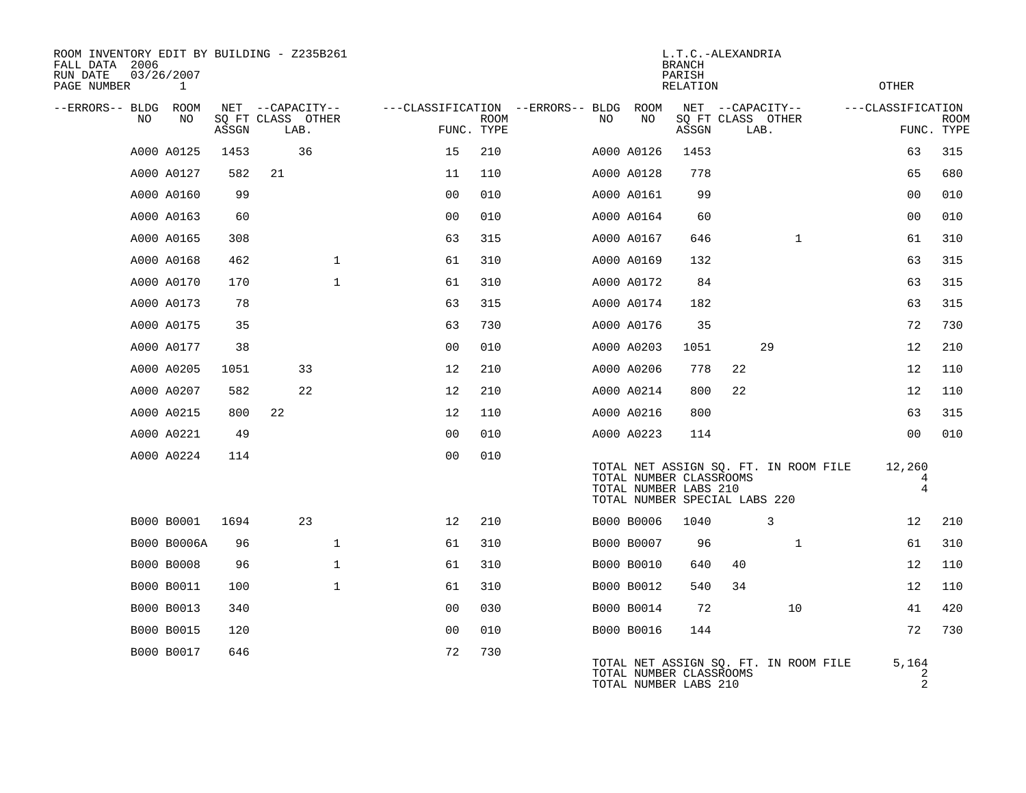| ROOM INVENTORY EDIT BY BUILDING - Z235B261<br>FALL DATA 2006<br>RUN DATE<br>PAGE NUMBER | 03/26/2007<br>1 |       |                           |              |                                   |             |     |            | L.T.C.-ALEXANDRIA<br><b>BRANCH</b><br>PARISH<br><b>RELATION</b>                   |    |                                       | OTHER                        |             |
|-----------------------------------------------------------------------------------------|-----------------|-------|---------------------------|--------------|-----------------------------------|-------------|-----|------------|-----------------------------------------------------------------------------------|----|---------------------------------------|------------------------------|-------------|
| --ERRORS-- BLDG ROOM                                                                    |                 |       | NET --CAPACITY--          |              | ---CLASSIFICATION --ERRORS-- BLDG |             |     | ROOM       |                                                                                   |    | NET --CAPACITY--                      | ---CLASSIFICATION            |             |
| NO                                                                                      | NO              | ASSGN | SQ FT CLASS OTHER<br>LAB. |              | FUNC. TYPE                        | <b>ROOM</b> | NO. | NO         | ASSGN                                                                             |    | SQ FT CLASS OTHER<br>LAB.             | FUNC. TYPE                   | <b>ROOM</b> |
|                                                                                         | A000 A0125      | 1453  | 36                        |              | 15                                | 210         |     | A000 A0126 | 1453                                                                              |    |                                       | 63                           | 315         |
|                                                                                         | A000 A0127      | 582   | 21                        |              | 11                                | 110         |     | A000 A0128 | 778                                                                               |    |                                       | 65                           | 680         |
|                                                                                         | A000 A0160      | 99    |                           |              | 0 <sub>0</sub>                    | 010         |     | A000 A0161 | 99                                                                                |    |                                       | 0 <sub>0</sub>               | 010         |
|                                                                                         | A000 A0163      | 60    |                           |              | 00                                | 010         |     | A000 A0164 | 60                                                                                |    |                                       | 0 <sub>0</sub>               | 010         |
|                                                                                         | A000 A0165      | 308   |                           |              | 63                                | 315         |     | A000 A0167 | 646                                                                               |    | $\mathbf{1}$                          | 61                           | 310         |
|                                                                                         | A000 A0168      | 462   |                           | $\mathbf{1}$ | 61                                | 310         |     | A000 A0169 | 132                                                                               |    |                                       | 63                           | 315         |
|                                                                                         | A000 A0170      | 170   |                           | $\mathbf{1}$ | 61                                | 310         |     | A000 A0172 | 84                                                                                |    |                                       | 63                           | 315         |
|                                                                                         | A000 A0173      | 78    |                           |              | 63                                | 315         |     | A000 A0174 | 182                                                                               |    |                                       | 63                           | 315         |
|                                                                                         | A000 A0175      | 35    |                           |              | 63                                | 730         |     | A000 A0176 | 35                                                                                |    |                                       | 72                           | 730         |
|                                                                                         | A000 A0177      | 38    |                           |              | 0 <sub>0</sub>                    | 010         |     | A000 A0203 | 1051                                                                              |    | 29                                    | 12                           | 210         |
|                                                                                         | A000 A0205      | 1051  | 33                        |              | 12                                | 210         |     | A000 A0206 | 778                                                                               | 22 |                                       | 12                           | 110         |
|                                                                                         | A000 A0207      | 582   | 22                        |              | 12                                | 210         |     | A000 A0214 | 800                                                                               | 22 |                                       | 12                           | 110         |
|                                                                                         | A000 A0215      | 800   | 22                        |              | 12                                | 110         |     | A000 A0216 | 800                                                                               |    |                                       | 63                           | 315         |
|                                                                                         | A000 A0221      | 49    |                           |              | 0 <sub>0</sub>                    | 010         |     | A000 A0223 | 114                                                                               |    |                                       | 0 <sub>0</sub>               | 010         |
|                                                                                         | A000 A0224      | 114   |                           |              | 0 <sub>0</sub>                    | 010         |     |            | TOTAL NUMBER CLASSROOMS<br>TOTAL NUMBER LABS 210<br>TOTAL NUMBER SPECIAL LABS 220 |    | TOTAL NET ASSIGN SQ. FT. IN ROOM FILE | 12,260<br>4<br>4             |             |
|                                                                                         | B000 B0001      | 1694  | 23                        |              | 12                                | 210         |     | B000 B0006 | 1040                                                                              |    | 3                                     | 12                           | 210         |
|                                                                                         | B000 B0006A     | 96    |                           | $\mathbf{1}$ | 61                                | 310         |     | B000 B0007 | 96                                                                                |    | $\mathbf{1}$                          | 61                           | 310         |
|                                                                                         | B000 B0008      | 96    |                           | $\mathbf{1}$ | 61                                | 310         |     | B000 B0010 | 640                                                                               | 40 |                                       | 12                           | 110         |
|                                                                                         | B000 B0011      | 100   |                           | $\mathbf{1}$ | 61                                | 310         |     | B000 B0012 | 540                                                                               | 34 |                                       | 12                           | 110         |
|                                                                                         | B000 B0013      | 340   |                           |              | 0 <sub>0</sub>                    | 030         |     | B000 B0014 | 72                                                                                |    | 10                                    | 41                           | 420         |
|                                                                                         | B000 B0015      | 120   |                           |              | 0 <sub>0</sub>                    | 010         |     | B000 B0016 | 144                                                                               |    |                                       | 72                           | 730         |
|                                                                                         | B000 B0017      | 646   |                           |              | 72                                | 730         |     |            | TOTAL NUMBER CLASSROOMS<br>TOTAL NUMBER LABS 210                                  |    | TOTAL NET ASSIGN SQ. FT. IN ROOM FILE | 5,164<br>$\overline{a}$<br>2 |             |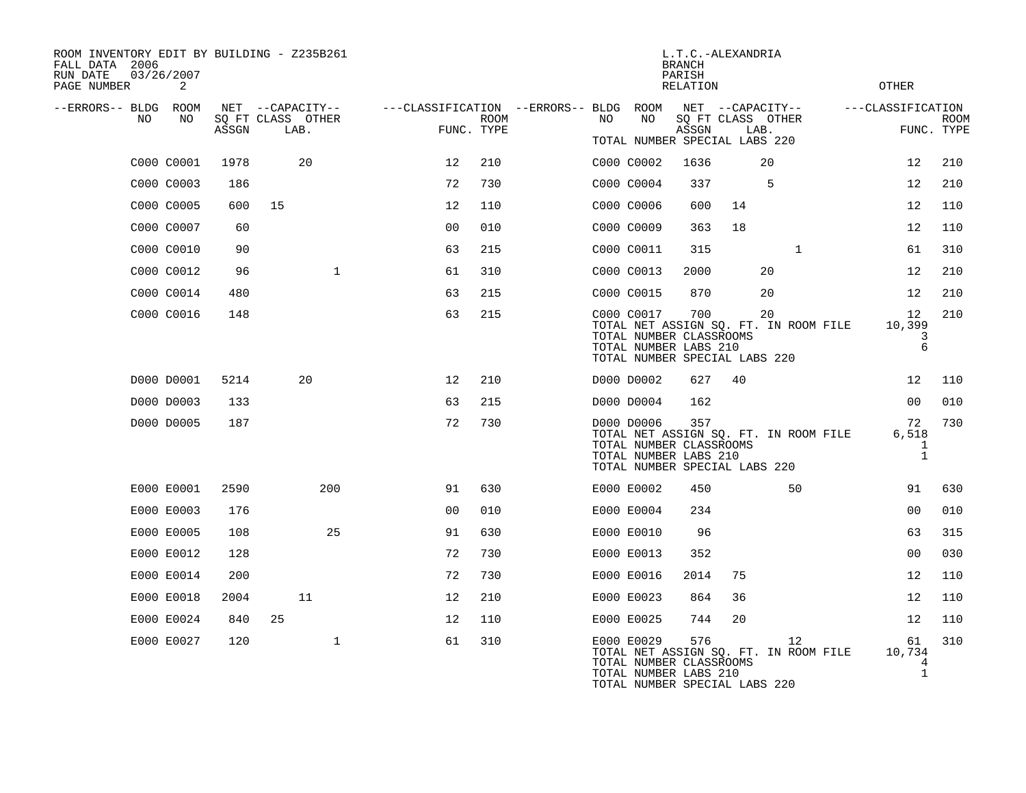| ROOM INVENTORY EDIT BY BUILDING - Z235B261<br>FALL DATA 2006<br>RUN DATE<br>PAGE NUMBER | 03/26/2007<br>2 |       |                           |                                        |             |     |                                                                                                 | L.T.C.-ALEXANDRIA<br><b>BRANCH</b><br>PARISH<br><b>RELATION</b> |    |                                             | <b>OTHER</b>                      |                           |
|-----------------------------------------------------------------------------------------|-----------------|-------|---------------------------|----------------------------------------|-------------|-----|-------------------------------------------------------------------------------------------------|-----------------------------------------------------------------|----|---------------------------------------------|-----------------------------------|---------------------------|
| --ERRORS-- BLDG ROOM                                                                    | NO              |       | NET --CAPACITY--          | ---CLASSIFICATION --ERRORS-- BLDG ROOM |             |     | NO                                                                                              |                                                                 |    | NET --CAPACITY--                            | ---CLASSIFICATION                 |                           |
| NO                                                                                      |                 | ASSGN | SQ FT CLASS OTHER<br>LAB. | FUNC. TYPE                             | <b>ROOM</b> | NO. |                                                                                                 | ASSGN                                                           |    | SQ FT CLASS OTHER<br>LAB.                   |                                   | <b>ROOM</b><br>FUNC. TYPE |
|                                                                                         | C000 C0001      | 1978  | 20                        | 12                                     | 210         |     | TOTAL NUMBER SPECIAL LABS 220<br>C000 C0002                                                     | 1636                                                            |    | 20                                          | 12                                | 210                       |
|                                                                                         | C000 C0003      | 186   |                           | 72                                     | 730         |     | C000 C0004                                                                                      | 337                                                             |    | -5                                          | 12                                | 210                       |
|                                                                                         | C000 C0005      | 600   | 15                        | 12                                     | 110         |     | C000 C0006                                                                                      | 600                                                             | 14 |                                             | 12                                | 110                       |
|                                                                                         | C000 C0007      | 60    |                           | 0 <sub>0</sub>                         | 010         |     | C000 C0009                                                                                      | 363                                                             | 18 |                                             | 12                                | 110                       |
|                                                                                         | C000 C0010      | 90    |                           | 63                                     | 215         |     |                                                                                                 | 315                                                             |    | $\mathbf{1}$                                | 61                                | 310                       |
|                                                                                         | C000 C0012      | 96    | $\mathbf{1}$              | 61                                     | 310         |     | C000 C0011<br>C000 C0013                                                                        | 2000                                                            |    | 20                                          | 12                                | 210                       |
|                                                                                         | C000 C0014      | 480   |                           | 63                                     | 215         |     | C000 C0015                                                                                      | 870                                                             |    | 20                                          | 12                                | 210                       |
|                                                                                         | C000 C0016      | 148   |                           | 63                                     | 215         |     | C000 C0017                                                                                      | 700                                                             |    | 20                                          | 12                                | 210                       |
|                                                                                         |                 |       |                           |                                        |             |     | TOTAL NUMBER CLASSROOMS<br>TOTAL NUMBER LABS 210<br>TOTAL NUMBER SPECIAL LABS 220               |                                                                 |    | TOTAL NET ASSIGN SQ. FT. IN ROOM FILE       | 10,399<br>3<br>$\epsilon$         |                           |
|                                                                                         | D000 D0001      | 5214  | 20                        | 12                                     | 210         |     | D000 D0002                                                                                      | 627                                                             | 40 |                                             | 12                                | 110                       |
|                                                                                         | D000 D0003      | 133   |                           | 63                                     | 215         |     | D000 D0004                                                                                      | 162                                                             |    |                                             | 0 <sub>0</sub>                    | 010                       |
|                                                                                         | D000 D0005      | 187   |                           | 72                                     | 730         |     | D000 D0006<br>TOTAL NUMBER CLASSROOMS<br>TOTAL NUMBER LABS 210<br>TOTAL NUMBER SPECIAL LABS 220 | 357                                                             |    | TOTAL NET ASSIGN SQ. FT. IN ROOM FILE       | 72<br>6,518<br>1<br>$\mathbf{1}$  | 730                       |
|                                                                                         | E000 E0001      | 2590  | 200                       | 91                                     | 630         |     | E000 E0002                                                                                      | 450                                                             |    | 50                                          | 91                                | 630                       |
|                                                                                         | E000 E0003      | 176   |                           | 0 <sub>0</sub>                         | 010         |     | E000 E0004                                                                                      | 234                                                             |    |                                             | 0 <sub>0</sub>                    | 010                       |
|                                                                                         | E000 E0005      | 108   | 25                        | 91                                     | 630         |     | E000 E0010                                                                                      | 96                                                              |    |                                             | 63                                | 315                       |
|                                                                                         | E000 E0012      | 128   |                           | 72                                     | 730         |     | E000 E0013                                                                                      | 352                                                             |    |                                             | 0 <sub>0</sub>                    | 030                       |
|                                                                                         | E000 E0014      | 200   |                           | 72                                     | 730         |     | E000 E0016                                                                                      | 2014                                                            | 75 |                                             | 12                                | 110                       |
|                                                                                         | E000 E0018      | 2004  | 11                        | 12                                     | 210         |     | E000 E0023                                                                                      | 864                                                             | 36 |                                             | 12                                | 110                       |
|                                                                                         | E000 E0024      | 840   | 25                        | 12                                     | 110         |     | E000 E0025                                                                                      | 744                                                             | 20 |                                             | 12                                | 110                       |
|                                                                                         | E000 E0027      | 120   | 1                         | 61                                     | 310         |     | E000 E0029<br>TOTAL NUMBER CLASSROOMS<br>TOTAL NUMBER LABS 210<br>TOTAL NUMBER SPECIAL LABS 220 | 576                                                             |    | 12<br>TOTAL NET ASSIGN SQ. FT. IN ROOM FILE | 61<br>10,734<br>4<br>$\mathbf{1}$ | 310                       |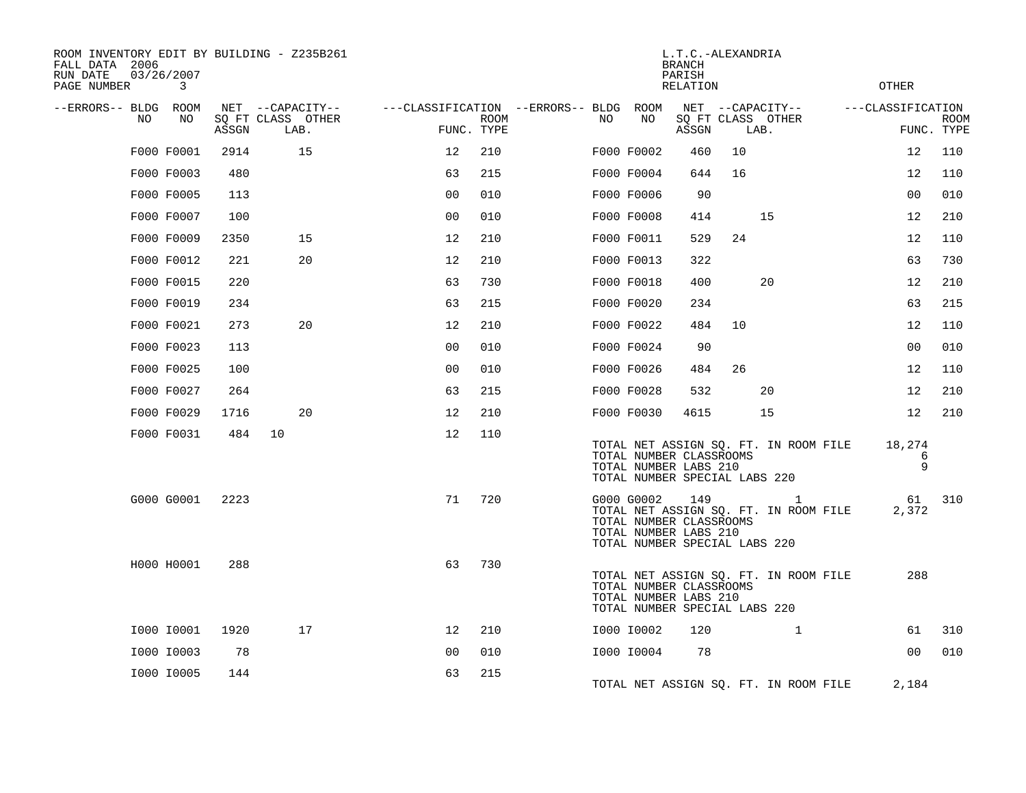| ROOM INVENTORY EDIT BY BUILDING - Z235B261<br>FALL DATA 2006<br>03/26/2007<br>RUN DATE<br>PAGE NUMBER | 3  |       |                                               |                                                      |             |    |            | L.T.C.-ALEXANDRIA<br><b>BRANCH</b><br>PARISH<br>RELATION                                 |    |                                                       | <b>OTHER</b>                    |             |
|-------------------------------------------------------------------------------------------------------|----|-------|-----------------------------------------------|------------------------------------------------------|-------------|----|------------|------------------------------------------------------------------------------------------|----|-------------------------------------------------------|---------------------------------|-------------|
| --ERRORS-- BLDG ROOM<br>NO.                                                                           | NO | ASSGN | NET --CAPACITY--<br>SQ FT CLASS OTHER<br>LAB. | ---CLASSIFICATION --ERRORS-- BLDG ROOM<br>FUNC. TYPE | <b>ROOM</b> | NO | NO         | ASSGN                                                                                    |    | NET --CAPACITY--<br>SQ FT CLASS OTHER<br>LAB.         | ---CLASSIFICATION<br>FUNC. TYPE | <b>ROOM</b> |
| F000 F0001                                                                                            |    | 2914  | 15                                            | 12                                                   | 210         |    | F000 F0002 | 460                                                                                      | 10 |                                                       | 12                              | 110         |
| F000 F0003                                                                                            |    | 480   |                                               | 63                                                   | 215         |    | F000 F0004 | 644                                                                                      | 16 |                                                       | 12                              | 110         |
| F000 F0005                                                                                            |    | 113   |                                               | 00                                                   | 010         |    | F000 F0006 | 90                                                                                       |    |                                                       | 0 <sub>0</sub>                  | 010         |
| F000 F0007                                                                                            |    | 100   |                                               | 0 <sub>0</sub>                                       | 010         |    | F000 F0008 | 414                                                                                      |    | 15                                                    | 12                              | 210         |
| F000 F0009                                                                                            |    | 2350  | 15                                            | 12                                                   | 210         |    | F000 F0011 | 529                                                                                      | 24 |                                                       | 12                              | 110         |
| F000 F0012                                                                                            |    | 221   | 20                                            | 12                                                   | 210         |    | F000 F0013 | 322                                                                                      |    |                                                       | 63                              | 730         |
| F000 F0015                                                                                            |    | 220   |                                               | 63                                                   | 730         |    | F000 F0018 | 400                                                                                      |    | 20                                                    | 12                              | 210         |
| F000 F0019                                                                                            |    | 234   |                                               | 63                                                   | 215         |    | F000 F0020 | 234                                                                                      |    |                                                       | 63                              | 215         |
| F000 F0021                                                                                            |    | 273   | 20                                            | 12                                                   | 210         |    | F000 F0022 | 484                                                                                      | 10 |                                                       | 12                              | 110         |
| F000 F0023                                                                                            |    | 113   |                                               | 0 <sub>0</sub>                                       | 010         |    | F000 F0024 | 90                                                                                       |    |                                                       | 0 <sub>0</sub>                  | 010         |
| F000 F0025                                                                                            |    | 100   |                                               | 0 <sub>0</sub>                                       | 010         |    | F000 F0026 | 484                                                                                      | 26 |                                                       | 12                              | 110         |
| F000 F0027                                                                                            |    | 264   |                                               | 63                                                   | 215         |    | F000 F0028 | 532                                                                                      |    | 20                                                    | 12                              | 210         |
| F000 F0029                                                                                            |    | 1716  | 20                                            | 12                                                   | 210         |    | F000 F0030 | 4615                                                                                     |    | 15                                                    | 12                              | 210         |
| F000 F0031                                                                                            |    | 484   | 10                                            | 12                                                   | 110         |    |            | TOTAL NUMBER CLASSROOMS<br>TOTAL NUMBER LABS 210<br>TOTAL NUMBER SPECIAL LABS 220        |    | TOTAL NET ASSIGN SQ. FT. IN ROOM FILE                 | 18,274<br>6<br>9                |             |
| G000 G0001                                                                                            |    | 2223  |                                               | 71                                                   | 720         |    | G000 G0002 | 149<br>TOTAL NUMBER CLASSROOMS<br>TOTAL NUMBER LABS 210<br>TOTAL NUMBER SPECIAL LABS 220 |    | $\mathbf{1}$<br>TOTAL NET ASSIGN SQ. FT. IN ROOM FILE | 61<br>2,372                     | 310         |
| H000 H0001                                                                                            |    | 288   |                                               | 63                                                   | 730         |    |            | TOTAL NUMBER CLASSROOMS<br>TOTAL NUMBER LABS 210<br>TOTAL NUMBER SPECIAL LABS 220        |    | TOTAL NET ASSIGN SQ. FT. IN ROOM FILE                 | 288                             |             |
| I000 I0001                                                                                            |    | 1920  | 17                                            | 12                                                   | 210         |    | I000 I0002 | 120                                                                                      |    | $\mathbf{1}$                                          | 61                              | 310         |
| I000 I0003                                                                                            |    | 78    |                                               | 00                                                   | 010         |    | I000 I0004 | 78                                                                                       |    |                                                       | 0 <sub>0</sub>                  | 010         |
| I000 I0005                                                                                            |    | 144   |                                               | 63                                                   | 215         |    |            |                                                                                          |    | TOTAL NET ASSIGN SQ. FT. IN ROOM FILE                 | 2,184                           |             |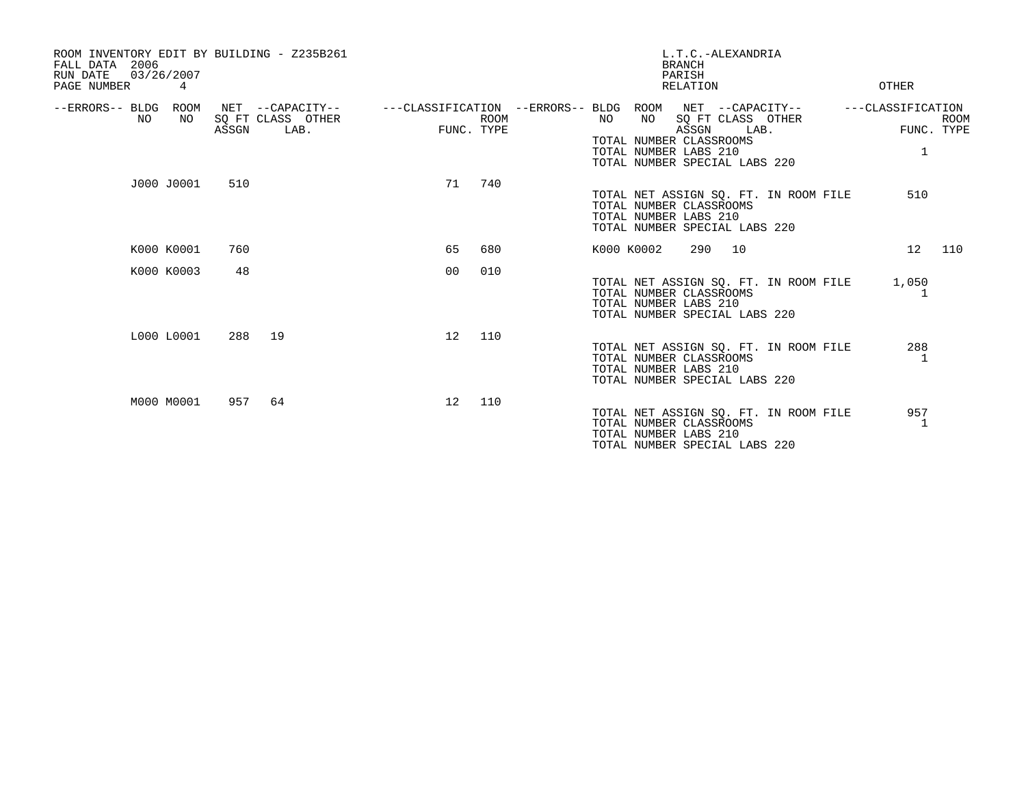| ROOM INVENTORY EDIT BY BUILDING - Z235B261<br>2006<br>FALL DATA<br>03/26/2007<br>RUN DATE<br>PAGE NUMBER<br>4 |       |                                               |                                                                       |             |            |                                                                                         | <b>BRANCH</b><br>PARISH<br>RELATION | L.T.C.-ALEXANDRIA         |                                       | OTHER                  |                           |
|---------------------------------------------------------------------------------------------------------------|-------|-----------------------------------------------|-----------------------------------------------------------------------|-------------|------------|-----------------------------------------------------------------------------------------|-------------------------------------|---------------------------|---------------------------------------|------------------------|---------------------------|
| --ERRORS-- BLDG ROOM<br>NO.<br>NO                                                                             | ASSGN | NET --CAPACITY--<br>SQ FT CLASS OTHER<br>LAB. | ---CLASSIFICATION --ERRORS-- BLDG ROOM NET --CAPACITY--<br>FUNC. TYPE | <b>ROOM</b> | NO         | NO<br>TOTAL NUMBER CLASSROOMS<br>TOTAL NUMBER LABS 210<br>TOTAL NUMBER SPECIAL LABS 220 | ASSGN                               | SQ FT CLASS OTHER<br>LAB. |                                       | ---CLASSIFICATION<br>1 | <b>ROOM</b><br>FUNC. TYPE |
| J000 J0001                                                                                                    | 510   |                                               | 71                                                                    | 740         |            | TOTAL NUMBER CLASSROOMS<br>TOTAL NUMBER LABS 210<br>TOTAL NUMBER SPECIAL LABS 220       |                                     |                           | TOTAL NET ASSIGN SQ. FT. IN ROOM FILE | 510                    |                           |
| K000 K0001                                                                                                    | 760   |                                               | 65                                                                    | 680         | K000 K0002 |                                                                                         | 290 10                              |                           |                                       | 12                     | 110                       |
| K000 K0003                                                                                                    | 48    |                                               | 0 <sub>0</sub>                                                        | 010         |            | TOTAL NUMBER CLASSROOMS<br>TOTAL NUMBER LABS 210<br>TOTAL NUMBER SPECIAL LABS 220       |                                     |                           | TOTAL NET ASSIGN SQ. FT. IN ROOM FILE | 1,050                  |                           |
| L000 L0001                                                                                                    |       | 288 19                                        | 12                                                                    | 110         |            | TOTAL NUMBER CLASSROOMS<br>TOTAL NUMBER LABS 210<br>TOTAL NUMBER SPECIAL LABS 220       |                                     |                           | TOTAL NET ASSIGN SQ. FT. IN ROOM FILE | 288                    |                           |
| M000 M0001                                                                                                    | 957   | 64                                            | 12                                                                    | 110         |            | TOTAL NUMBER CLASSROOMS<br>TOTAL NUMBER LABS 210<br>TOTAL NUMBER SPECIAL LABS 220       |                                     |                           | TOTAL NET ASSIGN SQ. FT. IN ROOM FILE | 957<br>-1.             |                           |